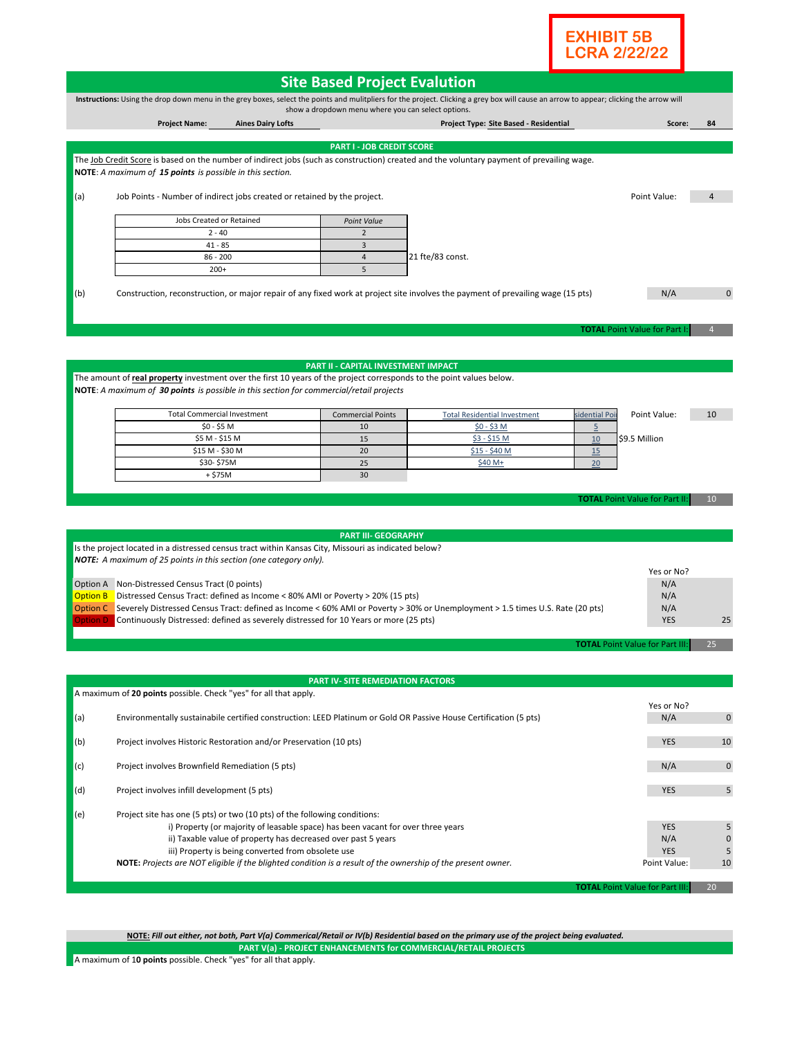

| <b>Site Based Project Evalution</b>     |                                                                                                                                                                                                                                                                                                                       |                                                                                  |                                                    |                                                                                                                                                                                         |                |                                        |             |
|-----------------------------------------|-----------------------------------------------------------------------------------------------------------------------------------------------------------------------------------------------------------------------------------------------------------------------------------------------------------------------|----------------------------------------------------------------------------------|----------------------------------------------------|-----------------------------------------------------------------------------------------------------------------------------------------------------------------------------------------|----------------|----------------------------------------|-------------|
|                                         |                                                                                                                                                                                                                                                                                                                       |                                                                                  | show a dropdown menu where you can select options. | Instructions: Using the drop down menu in the grey boxes, select the points and mulitpliers for the project. Clicking a grey box will cause an arrow to appear; clicking the arrow will |                |                                        |             |
|                                         | <b>Project Name:</b>                                                                                                                                                                                                                                                                                                  | <b>Aines Dairy Lofts</b>                                                         |                                                    | Project Type: Site Based - Residential                                                                                                                                                  |                | Score:                                 | 84          |
|                                         |                                                                                                                                                                                                                                                                                                                       |                                                                                  | <b>PART I - JOB CREDIT SCORE</b>                   |                                                                                                                                                                                         |                |                                        |             |
|                                         |                                                                                                                                                                                                                                                                                                                       |                                                                                  |                                                    | The Job Credit Score is based on the number of indirect jobs (such as construction) created and the voluntary payment of prevailing wage.                                               |                |                                        |             |
|                                         | NOTE: A maximum of 15 points is possible in this section.                                                                                                                                                                                                                                                             |                                                                                  |                                                    |                                                                                                                                                                                         |                |                                        |             |
| (a)                                     | Job Points - Number of indirect jobs created or retained by the project.                                                                                                                                                                                                                                              |                                                                                  |                                                    |                                                                                                                                                                                         |                | Point Value:                           |             |
| Jobs Created or Retained<br>Point Value |                                                                                                                                                                                                                                                                                                                       |                                                                                  |                                                    |                                                                                                                                                                                         |                |                                        |             |
|                                         | $2 - 40$                                                                                                                                                                                                                                                                                                              |                                                                                  | $\overline{2}$                                     |                                                                                                                                                                                         |                |                                        |             |
|                                         | $41 - 85$                                                                                                                                                                                                                                                                                                             |                                                                                  | $\overline{3}$                                     |                                                                                                                                                                                         |                |                                        |             |
|                                         | $86 - 200$                                                                                                                                                                                                                                                                                                            |                                                                                  | $\overline{4}$                                     | 21 fte/83 const.                                                                                                                                                                        |                |                                        |             |
|                                         | $200+$                                                                                                                                                                                                                                                                                                                |                                                                                  | 5                                                  |                                                                                                                                                                                         |                |                                        |             |
| (b)                                     |                                                                                                                                                                                                                                                                                                                       |                                                                                  |                                                    | Construction, reconstruction, or major repair of any fixed work at project site involves the payment of prevailing wage (15 pts)                                                        |                | N/A                                    | 0           |
|                                         |                                                                                                                                                                                                                                                                                                                       |                                                                                  |                                                    |                                                                                                                                                                                         |                |                                        |             |
|                                         |                                                                                                                                                                                                                                                                                                                       |                                                                                  |                                                    |                                                                                                                                                                                         |                |                                        |             |
|                                         |                                                                                                                                                                                                                                                                                                                       |                                                                                  |                                                    |                                                                                                                                                                                         |                | <b>TOTAL Point Value for Part I</b>    |             |
|                                         |                                                                                                                                                                                                                                                                                                                       |                                                                                  |                                                    |                                                                                                                                                                                         |                |                                        |             |
|                                         |                                                                                                                                                                                                                                                                                                                       |                                                                                  | <b>PART II - CAPITAL INVESTMENT IMPACT</b>         |                                                                                                                                                                                         |                |                                        |             |
|                                         | The amount of real property investment over the first 10 years of the project corresponds to the point values below.                                                                                                                                                                                                  |                                                                                  |                                                    |                                                                                                                                                                                         |                |                                        |             |
|                                         | NOTE: A maximum of 30 points is possible in this section for commercial/retail projects                                                                                                                                                                                                                               |                                                                                  |                                                    |                                                                                                                                                                                         |                |                                        |             |
|                                         | <b>Total Commercial Investment</b>                                                                                                                                                                                                                                                                                    |                                                                                  | <b>Commercial Points</b>                           | <b>Total Residential Investment</b>                                                                                                                                                     | sidential Poi  | Point Value:                           | 10          |
|                                         | $$0 - $5 M$                                                                                                                                                                                                                                                                                                           |                                                                                  | 10                                                 | $$0 - $3 M$                                                                                                                                                                             | $\overline{5}$ |                                        |             |
|                                         | \$5 M - \$15 M                                                                                                                                                                                                                                                                                                        |                                                                                  | 15                                                 | $$3 - $15$ M                                                                                                                                                                            | 10             | \$9.5 Million                          |             |
|                                         | \$15 M - \$30 M<br>\$30-\$75M                                                                                                                                                                                                                                                                                         |                                                                                  | 20<br>25                                           | \$15 - \$40 M<br>\$40 M+                                                                                                                                                                | 15<br>20       |                                        |             |
|                                         | + \$75M                                                                                                                                                                                                                                                                                                               |                                                                                  | 30                                                 |                                                                                                                                                                                         |                |                                        |             |
| <b>Option B</b>                         | Is the project located in a distressed census tract within Kansas City, Missouri as indicated below?<br><b>NOTE:</b> A maximum of 25 points in this section (one category only).<br>Option A Non-Distressed Census Tract (0 points)<br>Distressed Census Tract: defined as Income < 80% AMI or Poverty > 20% (15 pts) |                                                                                  | <b>PART III- GEOGRAPHY</b>                         |                                                                                                                                                                                         |                | Yes or No?<br>N/A<br>N/A               |             |
| ption D                                 | Continuously Distressed: defined as severely distressed for 10 Years or more (25 pts)                                                                                                                                                                                                                                 |                                                                                  |                                                    | Option C Severely Distressed Census Tract: defined as Income < 60% AMI or Poverty > 30% or Unemployment > 1.5 times U.S. Rate (20 pts)                                                  |                | N/A<br><b>YES</b>                      | 25          |
|                                         |                                                                                                                                                                                                                                                                                                                       |                                                                                  |                                                    |                                                                                                                                                                                         |                |                                        |             |
|                                         |                                                                                                                                                                                                                                                                                                                       |                                                                                  |                                                    |                                                                                                                                                                                         |                | <b>TOTAL Point Value for Part III:</b> | 25          |
|                                         |                                                                                                                                                                                                                                                                                                                       |                                                                                  |                                                    |                                                                                                                                                                                         |                |                                        |             |
|                                         |                                                                                                                                                                                                                                                                                                                       |                                                                                  | <b>PART IV- SITE REMEDIATION FACTORS</b>           |                                                                                                                                                                                         |                |                                        |             |
|                                         | A maximum of 20 points possible. Check "yes" for all that apply.                                                                                                                                                                                                                                                      |                                                                                  |                                                    |                                                                                                                                                                                         |                |                                        |             |
| (a)                                     |                                                                                                                                                                                                                                                                                                                       |                                                                                  |                                                    | Environmentally sustainabile certified construction: LEED Platinum or Gold OR Passive House Certification (5 pts)                                                                       |                | Yes or No?<br>N/A                      | $\mathbf 0$ |
| (b)                                     | Project involves Historic Restoration and/or Preservation (10 pts)                                                                                                                                                                                                                                                    |                                                                                  |                                                    |                                                                                                                                                                                         |                | <b>YES</b>                             | 10          |
| (c)                                     | Project involves Brownfield Remediation (5 pts)                                                                                                                                                                                                                                                                       |                                                                                  |                                                    | N/A                                                                                                                                                                                     | $\mathbf 0$    |                                        |             |
| (d)                                     | Project involves infill development (5 pts)                                                                                                                                                                                                                                                                           |                                                                                  |                                                    |                                                                                                                                                                                         |                | <b>YES</b>                             | 5           |
|                                         | Project site has one (5 pts) or two (10 pts) of the following conditions:                                                                                                                                                                                                                                             |                                                                                  |                                                    |                                                                                                                                                                                         |                |                                        |             |
| (e)                                     |                                                                                                                                                                                                                                                                                                                       | i) Property (or majority of leasable space) has been vacant for over three years |                                                    |                                                                                                                                                                                         |                | <b>YES</b>                             | 5           |
|                                         |                                                                                                                                                                                                                                                                                                                       | ii) Taxable value of property has decreased over past 5 years                    |                                                    |                                                                                                                                                                                         |                | N/A                                    | 0           |
|                                         |                                                                                                                                                                                                                                                                                                                       | iii) Property is being converted from obsolete use                               |                                                    |                                                                                                                                                                                         |                | <b>YES</b>                             | 5           |
|                                         |                                                                                                                                                                                                                                                                                                                       |                                                                                  |                                                    | NOTE: Projects are NOT eligible if the blighted condition is a result of the ownership of the present owner.                                                                            |                | Point Value:                           | 10          |
|                                         |                                                                                                                                                                                                                                                                                                                       |                                                                                  |                                                    |                                                                                                                                                                                         |                | <b>TOTAL Point Value for Part III:</b> | 20          |

**PART V(a) - PROJECT ENHANCEMENTS for COMMERCIAL/RETAIL PROJECTS NOTE:** *Fill out either, not both, Part V(a) Commerical/Retail or IV(b) Residential based on the primary use of the project being evaluated.*

A maximum of 1**0 points** possible. Check "yes" for all that apply.